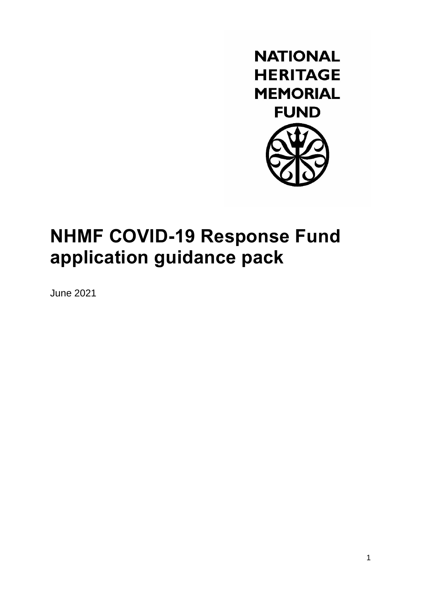

# **NHMF COVID-19 Response Fund application guidance pack**

June 2021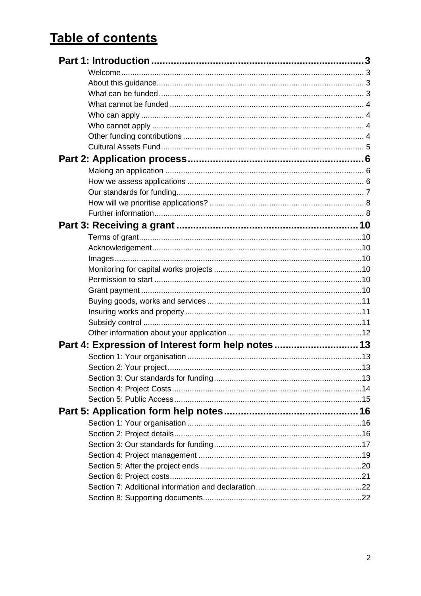# **Table of contents**

| Part 4: Expression of Interest form help notes13 |  |
|--------------------------------------------------|--|
|                                                  |  |
|                                                  |  |
|                                                  |  |
|                                                  |  |
|                                                  |  |
|                                                  |  |
|                                                  |  |
|                                                  |  |
|                                                  |  |
|                                                  |  |
|                                                  |  |
|                                                  |  |
|                                                  |  |
|                                                  |  |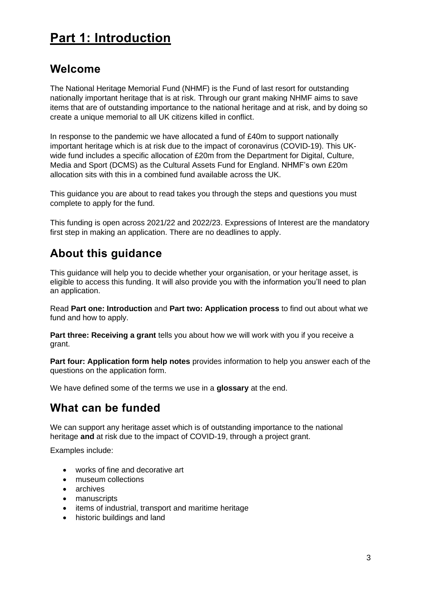# <span id="page-2-0"></span>**Part 1: Introduction**

## <span id="page-2-1"></span>**Welcome**

The National Heritage Memorial Fund (NHMF) is the Fund of last resort for outstanding nationally important heritage that is at risk. Through our grant making NHMF aims to save items that are of outstanding importance to the national heritage and at risk, and by doing so create a unique memorial to all UK citizens killed in conflict.

In response to the pandemic we have allocated a fund of £40m to support nationally important heritage which is at risk due to the impact of coronavirus (COVID-19). This UKwide fund includes a specific allocation of £20m from the Department for Digital, Culture, Media and Sport (DCMS) as the Cultural Assets Fund for England. NHMF's own £20m allocation sits with this in a combined fund available across the UK.

This guidance you are about to read takes you through the steps and questions you must complete to apply for the fund.

This funding is open across 2021/22 and 2022/23. Expressions of Interest are the mandatory first step in making an application. There are no deadlines to apply.

# <span id="page-2-2"></span>**About this guidance**

This guidance will help you to decide whether your organisation, or your heritage asset, is eligible to access this funding. It will also provide you with the information you'll need to plan an application.

Read **Part one: Introduction** and **[Part two: Application process](#page-5-0)** to find out about what we fund and how to apply.

**[Part three: Receiving a grant](#page-9-0)** tells you about how we will work with you if you receive a grant.

**Part four: Application form help notes** provides information to help you answer each of the questions on the application form.

We have defined some of the terms we use in a **[glossary](#page-22-0)** at the end.

# <span id="page-2-3"></span>**What can be funded**

We can support any heritage asset which is of outstanding importance to the national heritage **and** at risk due to the impact of COVID-19, through a project grant.

Examples include:

- works of fine and decorative art
- museum collections
- archives
- manuscripts
- items of industrial, transport and maritime heritage
- historic buildings and land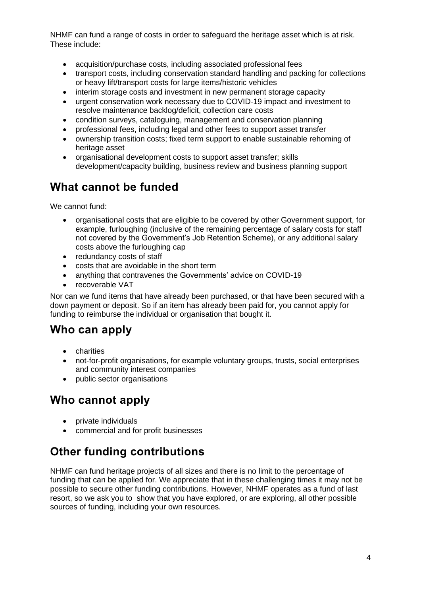NHMF can fund a range of costs in order to safeguard the heritage asset which is at risk. These include:

- acquisition/purchase costs, including associated professional fees
- transport costs, including conservation standard handling and packing for collections or heavy lift/transport costs for large items/historic vehicles
- interim storage costs and investment in new permanent storage capacity
- urgent conservation work necessary due to COVID-19 impact and investment to resolve maintenance backlog/deficit, collection care costs
- condition surveys, cataloguing, management and conservation planning
- professional fees, including legal and other fees to support asset transfer
- ownership transition costs; fixed term support to enable sustainable rehoming of heritage asset
- organisational development costs to support asset transfer; skills development/capacity building, business review and business planning support

# <span id="page-3-0"></span>**What cannot be funded**

We cannot fund:

- organisational costs that are eligible to be covered by other Government support, for example, furloughing (inclusive of the remaining percentage of salary costs for staff not covered by the Government's Job Retention Scheme), or any additional salary costs above the furloughing cap
- redundancy costs of staff
- costs that are avoidable in the short term
- anything that contravenes the Governments' advice on COVID-19
- recoverable VAT

Nor can we fund items that have already been purchased, or that have been secured with a down payment or deposit. So if an item has already been paid for, you cannot apply for funding to reimburse the individual or organisation that bought it.

# <span id="page-3-1"></span>**Who can apply**

- charities
- not-for-profit organisations, for example voluntary groups, trusts, social enterprises and community interest companies
- public sector organisations

# <span id="page-3-2"></span>**Who cannot apply**

- private individuals
- commercial and for profit businesses

# <span id="page-3-3"></span>**Other funding contributions**

NHMF can fund heritage projects of all sizes and there is no limit to the percentage of funding that can be applied for. We appreciate that in these challenging times it may not be possible to secure other funding contributions. However, NHMF operates as a fund of last resort, so we ask you to show that you have explored, or are exploring, all other possible sources of funding, including your own resources.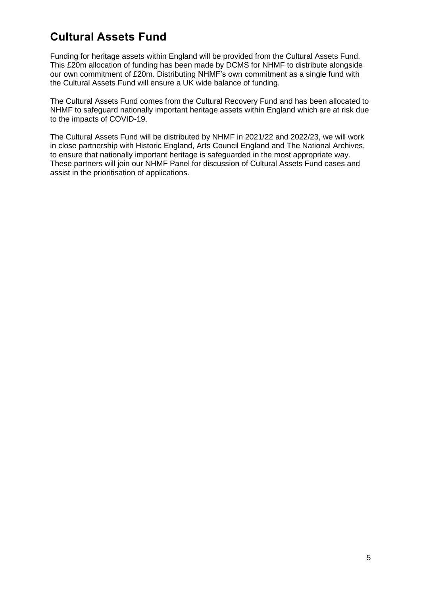# <span id="page-4-0"></span>**Cultural Assets Fund**

Funding for heritage assets within England will be provided from the Cultural Assets Fund. This £20m allocation of funding has been made by DCMS for NHMF to distribute alongside our own commitment of £20m. Distributing NHMF's own commitment as a single fund with the Cultural Assets Fund will ensure a UK wide balance of funding.

The Cultural Assets Fund comes from the Cultural Recovery Fund and has been allocated to NHMF to safeguard nationally important heritage assets within England which are at risk due to the impacts of COVID-19.

The Cultural Assets Fund will be distributed by NHMF in 2021/22 and 2022/23, we will work in close partnership with Historic England, Arts Council England and The National Archives, to ensure that nationally important heritage is safeguarded in the most appropriate way. These partners will join our NHMF Panel for discussion of Cultural Assets Fund cases and assist in the prioritisation of applications.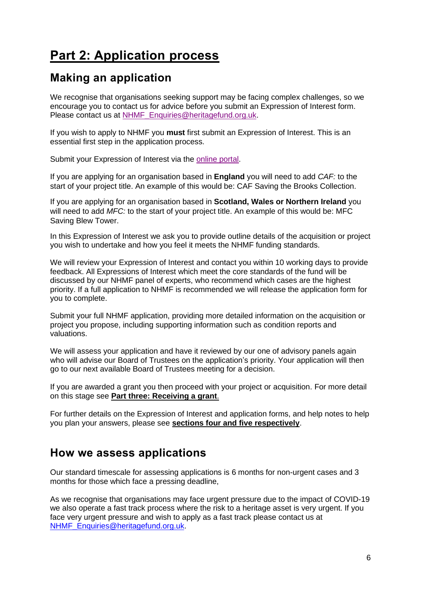# <span id="page-5-0"></span>**Part 2: Application process**

# <span id="page-5-1"></span>**Making an application**

We recognise that organisations seeking support may be facing complex challenges, so we encourage you to contact us for advice before you submit an Expression of Interest form. Please contact us at [NHMF\\_Enquiries@heritagefund.org.uk.](mailto:NHMF_Enquiries@heritagefund.org.uk)

If you wish to apply to NHMF you **must** first submit an Expression of Interest. This is an essential first step in the application process.

Submit your Expression of Interest via the [online portal.](https://heritagefund.force.com/getheritagememorialfunding/s/login/?language=en_US)

If you are applying for an organisation based in **England** you will need to add *CAF:* to the start of your project title. An example of this would be: CAF Saving the Brooks Collection.

If you are applying for an organisation based in **Scotland, Wales or Northern Ireland** you will need to add *MFC:* to the start of your project title. An example of this would be: MFC Saving Blew Tower.

In this Expression of Interest we ask you to provide outline details of the acquisition or project you wish to undertake and how you feel it meets the NHMF funding standards.

We will review your Expression of Interest and contact you within 10 working days to provide feedback. All Expressions of Interest which meet the core standards of the fund will be discussed by our NHMF panel of experts, who recommend which cases are the highest priority. If a full application to NHMF is recommended we will release the application form for you to complete.

Submit your full NHMF application, providing more detailed information on the acquisition or project you propose, including supporting information such as condition reports and valuations.

We will assess your application and have it reviewed by our one of advisory panels again who will advise our Board of Trustees on the application's priority. Your application will then go to our next available Board of Trustees meeting for a decision.

If you are awarded a grant you then proceed with your project or acquisition. For more detail on this stage see **[Part three: Receiving a grant](#page-9-0)**.

For further details on the Expression of Interest and application forms, and help notes to help you plan your answers, please see **sections four and five respectively**.

## <span id="page-5-2"></span>**How we assess applications**

Our standard timescale for assessing applications is 6 months for non-urgent cases and 3 months for those which face a pressing deadline,

As we recognise that organisations may face urgent pressure due to the impact of COVID-19 we also operate a fast track process where the risk to a heritage asset is very urgent. If you face very urgent pressure and wish to apply as a fast track please contact us at [NHMF\\_Enquiries@heritagefund.org.uk.](mailto:NHMF_Enquiries@heritagefund.org.uk)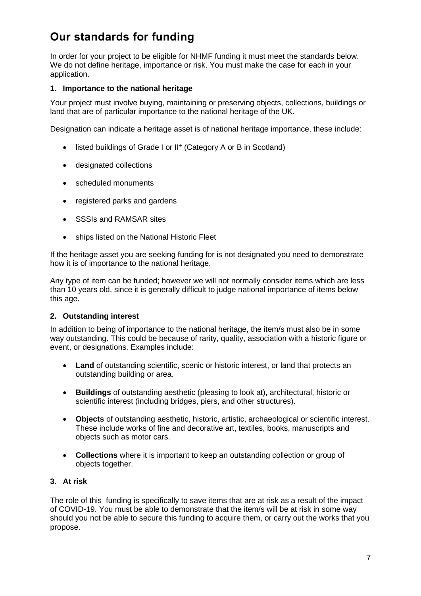# <span id="page-6-0"></span>**Our standards for funding**

In order for your project to be eligible for NHMF funding it must meet the standards below. We do not define heritage, importance or risk. You must make the case for each in your application.

### **1. Importance to the national heritage**

Your project must involve buying, maintaining or preserving objects, collections, buildings or land that are of particular importance to the national heritage of the UK.

Designation can indicate a heritage asset is of national heritage importance, these include:

- listed buildings of Grade I or II\* (Category A or B in Scotland)
- designated collections
- scheduled monuments
- registered parks and gardens
- SSSIs and RAMSAR sites
- ships listed on the National Historic Fleet

If the heritage asset you are seeking funding for is not designated you need to demonstrate how it is of importance to the national heritage.

Any type of item can be funded; however we will not normally consider items which are less than 10 years old, since it is generally difficult to judge national importance of items below this age.

### **2. Outstanding interest**

In addition to being of importance to the national heritage, the item/s must also be in some way outstanding. This could be because of rarity, quality, association with a historic figure or event, or designations. Examples include:

- **Land** of outstanding scientific, scenic or historic interest, or land that protects an outstanding building or area.
- **Buildings** of outstanding aesthetic (pleasing to look at), architectural, historic or scientific interest (including bridges, piers, and other structures).
- **Objects** of outstanding aesthetic, historic, artistic, archaeological or scientific interest. These include works of fine and decorative art, textiles, books, manuscripts and objects such as motor cars.
- **Collections** where it is important to keep an outstanding collection or group of objects together.

### **3. At risk**

The role of this funding is specifically to save items that are at risk as a result of the impact of COVID-19. You must be able to demonstrate that the item/s will be at risk in some way should you not be able to secure this funding to acquire them, or carry out the works that you propose.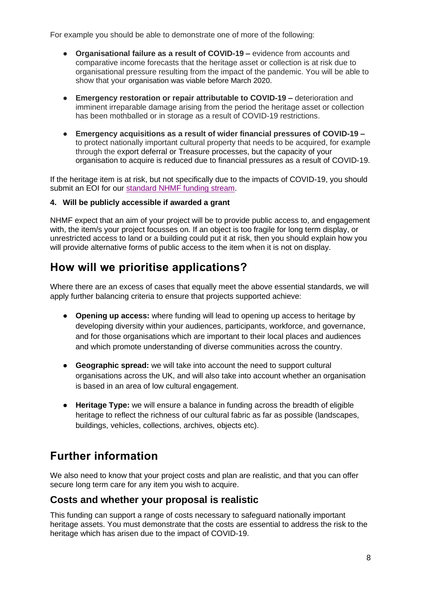For example you should be able to demonstrate one of more of the following:

- **Organisational failure as a result of COVID-19 –** evidence from accounts and comparative income forecasts that the heritage asset or collection is at risk due to organisational pressure resulting from the impact of the pandemic. You will be able to show that your organisation was viable before March 2020.
- **Emergency restoration or repair attributable to COVID-19 –** deterioration and imminent irreparable damage arising from the period the heritage asset or collection has been mothballed or in storage as a result of COVID-19 restrictions.
- **Emergency acquisitions as a result of wider financial pressures of COVID-19 –** to protect nationally important cultural property that needs to be acquired, for example through the export deferral or Treasure processes, but the capacity of your organisation to acquire is reduced due to financial pressures as a result of COVID-19.

If the heritage item is at risk, but not specifically due to the impacts of COVID-19, you should submit an EOI for our [standard NHMF funding](https://www.nhmf.org.uk/funding/standard-funding-stream) stream.

### **4. Will be publicly accessible if awarded a grant**

NHMF expect that an aim of your project will be to provide public access to, and engagement with, the item/s your project focusses on. If an object is too fragile for long term display, or unrestricted access to land or a building could put it at risk, then you should explain how you will provide alternative forms of public access to the item when it is not on display.

# <span id="page-7-0"></span>**How will we prioritise applications?**

Where there are an excess of cases that equally meet the above essential standards, we will apply further balancing criteria to ensure that projects supported achieve:

- **Opening up access:** where funding will lead to opening up access to heritage by developing diversity within your audiences, participants, workforce, and governance, and for those organisations which are important to their local places and audiences and which promote understanding of diverse communities across the country.
- **Geographic spread:** we will take into account the need to support cultural organisations across the UK, and will also take into account whether an organisation is based in an area of low cultural engagement.
- **Heritage Type:** we will ensure a balance in funding across the breadth of eligible heritage to reflect the richness of our cultural fabric as far as possible (landscapes, buildings, vehicles, collections, archives, objects etc).

# <span id="page-7-1"></span>**Further information**

We also need to know that your project costs and plan are realistic, and that you can offer secure long term care for any item you wish to acquire.

### **Costs and whether your proposal is realistic**

This funding can support a range of costs necessary to safeguard nationally important heritage assets. You must demonstrate that the costs are essential to address the risk to the heritage which has arisen due to the impact of COVID-19.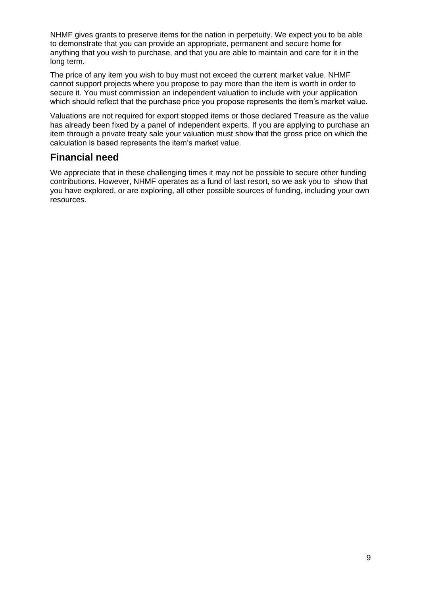NHMF gives grants to preserve items for the nation in perpetuity. We expect you to be able to demonstrate that you can provide an appropriate, permanent and secure home for anything that you wish to purchase, and that you are able to maintain and care for it in the long term.

The price of any item you wish to buy must not exceed the current market value. NHMF cannot support projects where you propose to pay more than the item is worth in order to secure it. You must commission an independent valuation to include with your application which should reflect that the purchase price you propose represents the item's market value.

Valuations are not required for export stopped items or those declared Treasure as the value has already been fixed by a panel of independent experts. If you are applying to purchase an item through a private treaty sale your valuation must show that the gross price on which the calculation is based represents the item's market value.

### **Financial need**

We appreciate that in these challenging times it may not be possible to secure other funding contributions. However, NHMF operates as a fund of last resort, so we ask you to show that you have explored, or are exploring, all other possible sources of funding, including your own resources.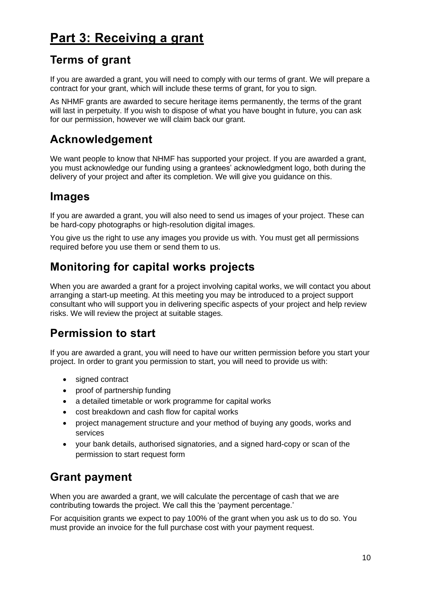# <span id="page-9-0"></span>**Part 3: Receiving a grant**

# <span id="page-9-1"></span>**Terms of grant**

If you are awarded a grant, you will need to comply with our terms of grant. We will prepare a contract for your grant, which will include these terms of grant, for you to sign.

As NHMF grants are awarded to secure heritage items permanently, the terms of the grant will last in perpetuity. If you wish to dispose of what you have bought in future, you can ask for our permission, however we will claim back our grant.

# <span id="page-9-2"></span>**Acknowledgement**

We want people to know that NHMF has supported your project. If you are awarded a grant, you must acknowledge our funding using a grantees' acknowledgment logo, both during the delivery of your project and after its completion. We will give you guidance on this.

# <span id="page-9-3"></span>**Images**

If you are awarded a grant, you will also need to send us images of your project. These can be hard-copy photographs or high-resolution digital images.

You give us the right to use any images you provide us with. You must get all permissions required before you use them or send them to us.

# <span id="page-9-4"></span>**Monitoring for capital works projects**

When you are awarded a grant for a project involving capital works, we will contact you about arranging a start-up meeting. At this meeting you may be introduced to a project support consultant who will support you in delivering specific aspects of your project and help review risks. We will review the project at suitable stages.

# <span id="page-9-5"></span>**Permission to start**

If you are awarded a grant, you will need to have our written permission before you start your project. In order to grant you permission to start, you will need to provide us with:

- signed contract
- proof of partnership funding
- a detailed timetable or work programme for capital works
- cost breakdown and cash flow for capital works
- project management structure and your method of buying any goods, works and services
- your bank details, authorised signatories, and a signed hard-copy or scan of the permission to start request form

# <span id="page-9-6"></span>**Grant payment**

When you are awarded a grant, we will calculate the percentage of cash that we are contributing towards the project. We call this the 'payment percentage.'

For acquisition grants we expect to pay 100% of the grant when you ask us to do so. You must provide an invoice for the full purchase cost with your payment request.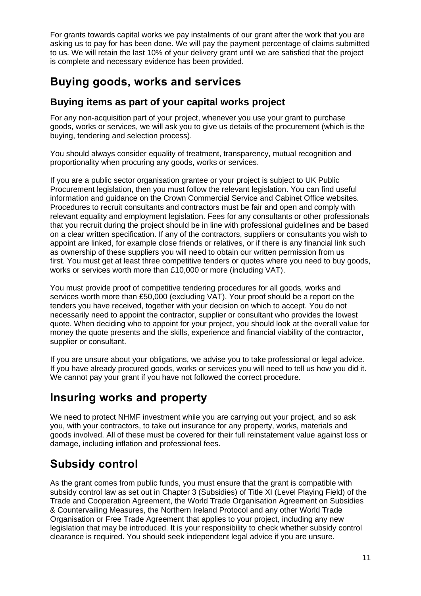For grants towards capital works we pay instalments of our grant after the work that you are asking us to pay for has been done. We will pay the payment percentage of claims submitted to us. We will retain the last 10% of your delivery grant until we are satisfied that the project is complete and necessary evidence has been provided.

# <span id="page-10-0"></span>**Buying goods, works and services**

### **Buying items as part of your capital works project**

For any non-acquisition part of your project, whenever you use your grant to purchase goods, works or services, we will ask you to give us details of the procurement (which is the buying, tendering and selection process).

You should always consider equality of treatment, transparency, mutual recognition and proportionality when procuring any goods, works or services.

If you are a public sector organisation grantee or your project is subject to UK Public Procurement legislation, then you must follow the relevant legislation. You can find useful information and guidance on the Crown Commercial Service and Cabinet Office websites. Procedures to recruit consultants and contractors must be fair and open and comply with relevant equality and employment legislation. Fees for any consultants or other professionals that you recruit during the project should be in line with professional guidelines and be based on a clear written specification. If any of the contractors, suppliers or consultants you wish to appoint are linked, for example close friends or relatives, or if there is any financial link such as ownership of these suppliers you will need to obtain our written permission from us first. You must get at least three competitive tenders or quotes where you need to buy goods, works or services worth more than £10,000 or more (including VAT).

You must provide proof of competitive tendering procedures for all goods, works and services worth more than £50,000 (excluding VAT). Your proof should be a report on the tenders you have received, together with your decision on which to accept. You do not necessarily need to appoint the contractor, supplier or consultant who provides the lowest quote. When deciding who to appoint for your project, you should look at the overall value for money the quote presents and the skills, experience and financial viability of the contractor, supplier or consultant. 

If you are unsure about your obligations, we advise you to take professional or legal advice. If you have already procured goods, works or services you will need to tell us how you did it. We cannot pay your grant if you have not followed the correct procedure.

# <span id="page-10-1"></span>**Insuring works and property**

We need to protect NHMF investment while you are carrying out your project, and so ask you, with your contractors, to take out insurance for any property, works, materials and goods involved. All of these must be covered for their full reinstatement value against loss or damage, including inflation and professional fees.

# <span id="page-10-2"></span>**Subsidy control**

As the grant comes from public funds, you must ensure that the grant is compatible with subsidy control law as set out in Chapter 3 (Subsidies) of Title XI (Level Playing Field) of the Trade and Cooperation Agreement, the World Trade Organisation Agreement on Subsidies & Countervailing Measures, the Northern Ireland Protocol and any other World Trade Organisation or Free Trade Agreement that applies to your project, including any new legislation that may be introduced. It is your responsibility to check whether subsidy control clearance is required. You should seek independent legal advice if you are unsure.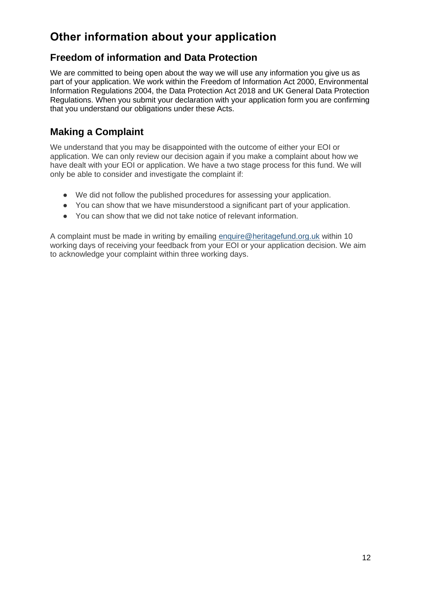# <span id="page-11-0"></span>**Other information about your application**

### **Freedom of information and Data Protection**

We are committed to being open about the way we will use any information you give us as part of your application. We work within the Freedom of Information Act 2000, Environmental Information Regulations 2004, the Data Protection Act 2018 and UK General Data Protection Regulations. When you submit your declaration with your application form you are confirming that you understand our obligations under these Acts.

### **Making a Complaint**

We understand that you may be disappointed with the outcome of either your EOI or application. We can only review our decision again if you make a complaint about how we have dealt with your EOI or application. We have a two stage process for this fund. We will only be able to consider and investigate the complaint if:

- We did not follow the published procedures for assessing your application.
- You can show that we have misunderstood a significant part of your application.
- You can show that we did not take notice of relevant information.

A complaint must be made in writing by emailing [enquire@heritagefund.org.uk](mailto:enquire@heritagefund.org.uk) within 10 working days of receiving your feedback from your EOI or your application decision. We aim to acknowledge your complaint within three working days.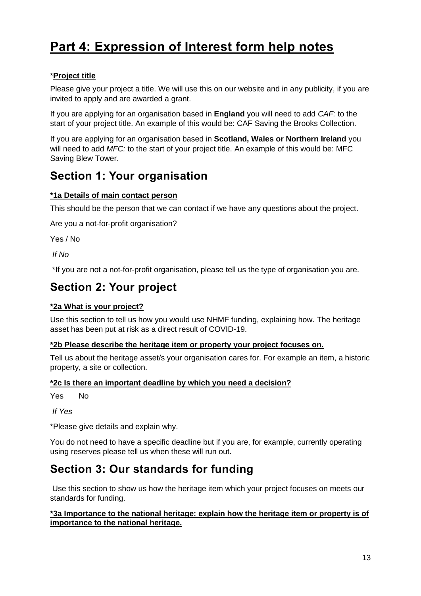# <span id="page-12-0"></span>**Part 4: Expression of Interest form help notes**

### \***Project title**

Please give your project a title. We will use this on our website and in any publicity, if you are invited to apply and are awarded a grant.

If you are applying for an organisation based in **England** you will need to add *CAF:* to the start of your project title. An example of this would be: CAF Saving the Brooks Collection.

If you are applying for an organisation based in **Scotland, Wales or Northern Ireland** you will need to add *MFC:* to the start of your project title. An example of this would be: MFC Saving Blew Tower.

# <span id="page-12-1"></span>**Section 1: Your organisation**

### **\*1a Details of main contact person**

This should be the person that we can contact if we have any questions about the project.

Are you a not-for-profit organisation?

Yes / No

*If No*

\*If you are not a not-for-profit organisation, please tell us the type of organisation you are.

# <span id="page-12-2"></span>**Section 2: Your project**

### **\*2a What is your project?**

Use this section to tell us how you would use NHMF funding, explaining how. The heritage asset has been put at risk as a direct result of COVID-19.

### **\*2b Please describe the heritage item or property your project focuses on.**

Tell us about the heritage asset/s your organisation cares for. For example an item, a historic property, a site or collection.

### **\*2c Is there an important deadline by which you need a decision?**

Yes No

*If Yes*

\*Please give details and explain why.

You do not need to have a specific deadline but if you are, for example, currently operating using reserves please tell us when these will run out.

# <span id="page-12-3"></span>**Section 3: Our standards for funding**

Use this section to show us how the heritage item which your project focuses on meets our standards for funding.

**\*3a Importance to the national heritage: explain how the heritage item or property is of importance to the national heritage.**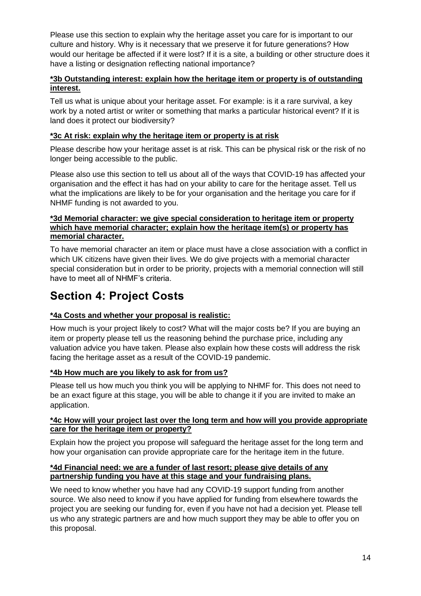Please use this section to explain why the heritage asset you care for is important to our culture and history. Why is it necessary that we preserve it for future generations? How would our heritage be affected if it were lost? If it is a site, a building or other structure does it have a listing or designation reflecting national importance?

### **\*3b Outstanding interest: explain how the heritage item or property is of outstanding interest.**

Tell us what is unique about your heritage asset. For example: is it a rare survival, a key work by a noted artist or writer or something that marks a particular historical event? If it is land does it protect our biodiversity?

### **\*3c At risk: explain why the heritage item or property is at risk**

Please describe how your heritage asset is at risk. This can be physical risk or the risk of no longer being accessible to the public.

Please also use this section to tell us about all of the ways that COVID-19 has affected your organisation and the effect it has had on your ability to care for the heritage asset. Tell us what the implications are likely to be for your organisation and the heritage you care for if NHMF funding is not awarded to you.

### **\*3d Memorial character: we give special consideration to heritage item or property which have memorial character; explain how the heritage item(s) or property has memorial character.**

To have memorial character an item or place must have a close association with a conflict in which UK citizens have given their lives. We do give projects with a memorial character special consideration but in order to be priority, projects with a memorial connection will still have to meet all of NHMF's criteria.

# <span id="page-13-0"></span>**Section 4: Project Costs**

### **\*4a Costs and whether your proposal is realistic:**

How much is your project likely to cost? What will the major costs be? If you are buying an item or property please tell us the reasoning behind the purchase price, including any valuation advice you have taken. Please also explain how these costs will address the risk facing the heritage asset as a result of the COVID-19 pandemic.

### **\*4b How much are you likely to ask for from us?**

Please tell us how much you think you will be applying to NHMF for. This does not need to be an exact figure at this stage, you will be able to change it if you are invited to make an application.

### **\*4c How will your project last over the long term and how will you provide appropriate care for the heritage item or property?**

Explain how the project you propose will safeguard the heritage asset for the long term and how your organisation can provide appropriate care for the heritage item in the future.

### **\*4d Financial need: we are a funder of last resort; please give details of any partnership funding you have at this stage and your fundraising plans.**

We need to know whether you have had any COVID-19 support funding from another source. We also need to know if you have applied for funding from elsewhere towards the project you are seeking our funding for, even if you have not had a decision yet. Please tell us who any strategic partners are and how much support they may be able to offer you on this proposal.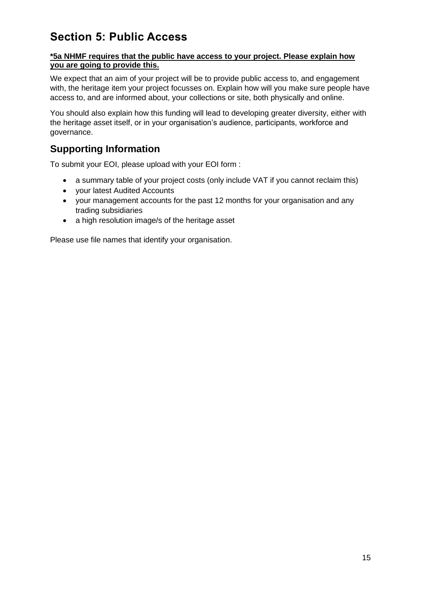# <span id="page-14-0"></span>**Section 5: Public Access**

### **\*5a NHMF requires that the public have access to your project. Please explain how you are going to provide this.**

We expect that an aim of your project will be to provide public access to, and engagement with, the heritage item your project focusses on. Explain how will you make sure people have access to, and are informed about, your collections or site, both physically and online.

You should also explain how this funding will lead to developing greater diversity, either with the heritage asset itself, or in your organisation's audience, participants, workforce and governance.

### **Supporting Information**

To submit your EOI, please upload with your EOI form :

- a summary table of your project costs (only include VAT if you cannot reclaim this)
- your latest Audited Accounts
- your management accounts for the past 12 months for your organisation and any trading subsidiaries
- a high resolution image/s of the heritage asset

Please use file names that identify your organisation.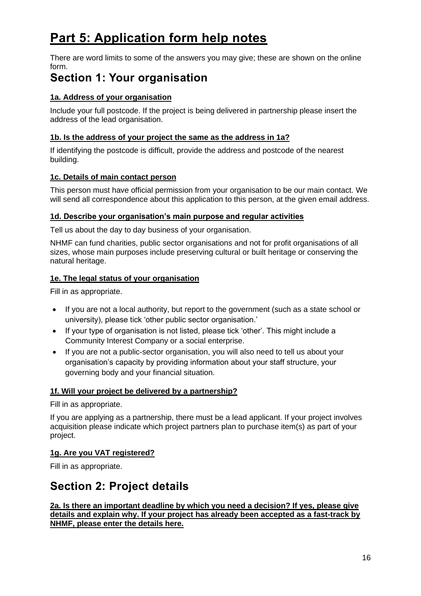# <span id="page-15-0"></span>**Part 5: Application form help notes**

There are word limits to some of the answers you may give; these are shown on the online form.

# <span id="page-15-1"></span>**Section 1: Your organisation**

### **1a. Address of your organisation**

Include your full postcode. If the project is being delivered in partnership please insert the address of the lead organisation.

### **1b. Is the address of your project the same as the address in 1a?**

If identifying the postcode is difficult, provide the address and postcode of the nearest building.

### **1c. Details of main contact person**

This person must have official permission from your organisation to be our main contact. We will send all correspondence about this application to this person, at the given email address.

### **1d. Describe your organisation's main purpose and regular activities**

Tell us about the day to day business of your organisation.

NHMF can fund charities, public sector organisations and not for profit organisations of all sizes, whose main purposes include preserving cultural or built heritage or conserving the natural heritage.

### **1e. The legal status of your organisation**

Fill in as appropriate.

- If you are not a local authority, but report to the government (such as a state school or university), please tick 'other public sector organisation.'
- If your type of organisation is not listed, please tick 'other'. This might include a Community Interest Company or a social enterprise.
- If you are not a public-sector organisation, you will also need to tell us about your organisation's capacity by providing information about your staff structure, your governing body and your financial situation.

### **1f. Will your project be delivered by a partnership?**

Fill in as appropriate.

If you are applying as a partnership, there must be a lead applicant. If your project involves acquisition please indicate which project partners plan to purchase item(s) as part of your project.

### **1g. Are you VAT registered?**

Fill in as appropriate.

# <span id="page-15-2"></span>**Section 2: Project details**

**2a. Is there an important deadline by which you need a decision? If yes, please give details and explain why. If your project has already been accepted as a fast-track by NHMF, please enter the details here.**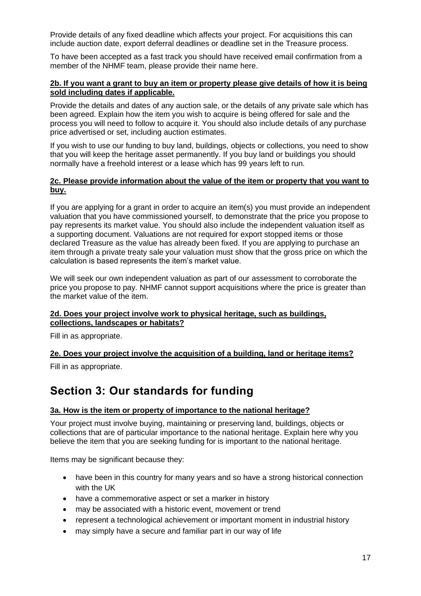Provide details of any fixed deadline which affects your project. For acquisitions this can include auction date, export deferral deadlines or deadline set in the Treasure process.

To have been accepted as a fast track you should have received email confirmation from a member of the NHMF team, please provide their name here.

#### **2b. If you want a grant to buy an item or property please give details of how it is being sold including dates if applicable.**

Provide the details and dates of any auction sale, or the details of any private sale which has been agreed. Explain how the item you wish to acquire is being offered for sale and the process you will need to follow to acquire it. You should also include details of any purchase price advertised or set, including auction estimates.

If you wish to use our funding to buy land, buildings, objects or collections, you need to show that you will keep the heritage asset permanently. If you buy land or buildings you should normally have a freehold interest or a lease which has 99 years left to run.

#### **2c. Please provide information about the value of the item or property that you want to buy.**

If you are applying for a grant in order to acquire an item(s) you must provide an independent valuation that you have commissioned yourself, to demonstrate that the price you propose to pay represents its market value. You should also include the independent valuation itself as a supporting document. Valuations are not required for export stopped items or those declared Treasure as the value has already been fixed. If you are applying to purchase an item through a private treaty sale your valuation must show that the gross price on which the calculation is based represents the item's market value.

We will seek our own independent valuation as part of our assessment to corroborate the price you propose to pay. NHMF cannot support acquisitions where the price is greater than the market value of the item.

#### **2d. Does your project involve work to physical heritage, such as buildings, collections, landscapes or habitats?**

Fill in as appropriate.

#### **2e. Does your project involve the acquisition of a building, land or heritage items?**

Fill in as appropriate.

## <span id="page-16-0"></span>**Section 3: Our standards for funding**

#### **3a. How is the item or property of importance to the national heritage?**

Your project must involve buying, maintaining or preserving land, buildings, objects or collections that are of particular importance to the national heritage. Explain here why you believe the item that you are seeking funding for is important to the national heritage.

Items may be significant because they:

- have been in this country for many years and so have a strong historical connection with the UK
- have a commemorative aspect or set a marker in history
- may be associated with a historic event, movement or trend
- represent a technological achievement or important moment in industrial history
- may simply have a secure and familiar part in our way of life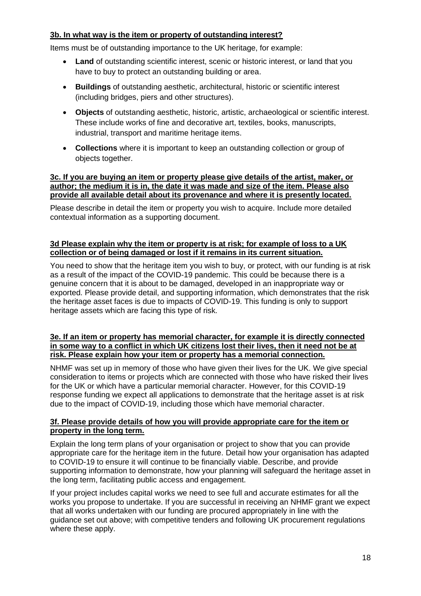### **3b. In what way is the item or property of outstanding interest?**

Items must be of outstanding importance to the UK heritage, for example:

- **Land** of outstanding scientific interest, scenic or historic interest, or land that you have to buy to protect an outstanding building or area.
- **Buildings** of outstanding aesthetic, architectural, historic or scientific interest (including bridges, piers and other structures).
- **Objects** of outstanding aesthetic, historic, artistic, archaeological or scientific interest. These include works of fine and decorative art, textiles, books, manuscripts, industrial, transport and maritime heritage items.
- **Collections** where it is important to keep an outstanding collection or group of objects together.

#### **3c. If you are buying an item or property please give details of the artist, maker, or author; the medium it is in, the date it was made and size of the item. Please also provide all available detail about its provenance and where it is presently located.**

Please describe in detail the item or property you wish to acquire. Include more detailed contextual information as a supporting document.

#### **3d Please explain why the item or property is at risk; for example of loss to a UK collection or of being damaged or lost if it remains in its current situation.**

You need to show that the heritage item you wish to buy, or protect, with our funding is at risk as a result of the impact of the COVID-19 pandemic. This could be because there is a genuine concern that it is about to be damaged, developed in an inappropriate way or exported. Please provide detail, and supporting information, which demonstrates that the risk the heritage asset faces is due to impacts of COVID-19. This funding is only to support heritage assets which are facing this type of risk.

#### **3e. If an item or property has memorial character, for example it is directly connected in some way to a conflict in which UK citizens lost their lives, then it need not be at risk. Please explain how your item or property has a memorial connection.**

NHMF was set up in memory of those who have given their lives for the UK. We give special consideration to items or projects which are connected with those who have risked their lives for the UK or which have a particular memorial character. However, for this COVID-19 response funding we expect all applications to demonstrate that the heritage asset is at risk due to the impact of COVID-19, including those which have memorial character.

### **3f. Please provide details of how you will provide appropriate care for the item or property in the long term.**

Explain the long term plans of your organisation or project to show that you can provide appropriate care for the heritage item in the future. Detail how your organisation has adapted to COVID-19 to ensure it will continue to be financially viable. Describe, and provide supporting information to demonstrate, how your planning will safeguard the heritage asset in the long term, facilitating public access and engagement.

If your project includes capital works we need to see full and accurate estimates for all the works you propose to undertake. If you are successful in receiving an NHMF grant we expect that all works undertaken with our funding are procured appropriately in line with the guidance set out above; with competitive tenders and following UK procurement regulations where these apply.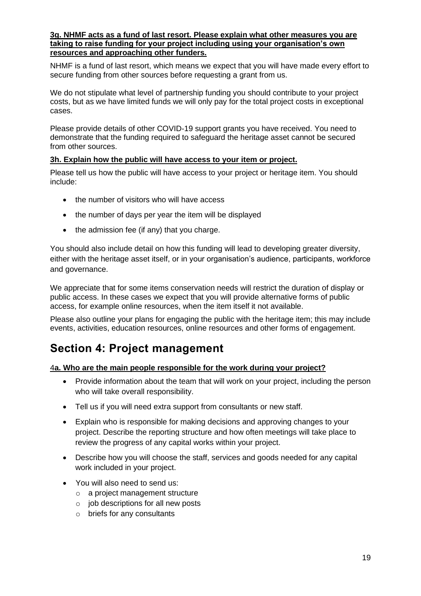#### **3g. NHMF acts as a fund of last resort. Please explain what other measures you are taking to raise funding for your project including using your organisation's own resources and approaching other funders.**

NHMF is a fund of last resort, which means we expect that you will have made every effort to secure funding from other sources before requesting a grant from us.

We do not stipulate what level of partnership funding you should contribute to your project costs, but as we have limited funds we will only pay for the total project costs in exceptional cases.

Please provide details of other COVID-19 support grants you have received. You need to demonstrate that the funding required to safeguard the heritage asset cannot be secured from other sources.

### **3h. Explain how the public will have access to your item or project.**

Please tell us how the public will have access to your project or heritage item. You should include:

- the number of visitors who will have access
- the number of days per year the item will be displayed
- the admission fee (if any) that you charge.

You should also include detail on how this funding will lead to developing greater diversity, either with the heritage asset itself, or in your organisation's audience, participants, workforce and governance.

We appreciate that for some items conservation needs will restrict the duration of display or public access. In these cases we expect that you will provide alternative forms of public access, for example online resources, when the item itself it not available.

Please also outline your plans for engaging the public with the heritage item; this may include events, activities, education resources, online resources and other forms of engagement.

## <span id="page-18-0"></span>**Section 4: Project management**

#### 4**a. Who are the main people responsible for the work during your project?**

- Provide information about the team that will work on your project, including the person who will take overall responsibility.
- Tell us if you will need extra support from consultants or new staff.
- Explain who is responsible for making decisions and approving changes to your project. Describe the reporting structure and how often meetings will take place to review the progress of any capital works within your project.
- Describe how you will choose the staff, services and goods needed for any capital work included in your project.
- You will also need to send us:
	- o a project management structure
	- $\circ$  job descriptions for all new posts
	- o briefs for any consultants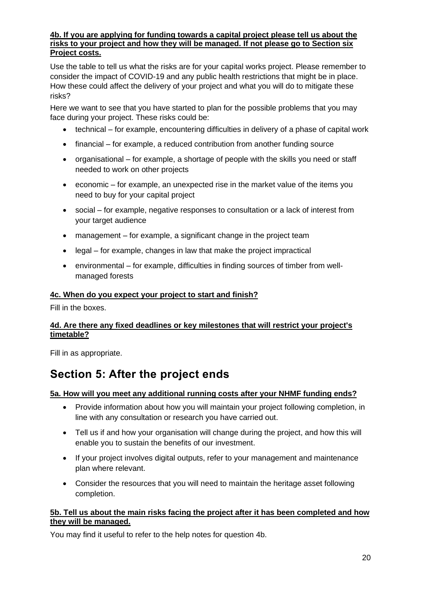#### **4b. If you are applying for funding towards a capital project please tell us about the risks to your project and how they will be managed. If not please go to Section six Project costs.**

Use the table to tell us what the risks are for your capital works project. Please remember to consider the impact of COVID-19 and any public health restrictions that might be in place. How these could affect the delivery of your project and what you will do to mitigate these risks?

Here we want to see that you have started to plan for the possible problems that you may face during your project. These risks could be:

- technical for example, encountering difficulties in delivery of a phase of capital work
- financial for example, a reduced contribution from another funding source
- organisational for example, a shortage of people with the skills you need or staff needed to work on other projects
- economic for example, an unexpected rise in the market value of the items you need to buy for your capital project
- social for example, negative responses to consultation or a lack of interest from your target audience
- management for example, a significant change in the project team
- legal for example, changes in law that make the project impractical
- environmental for example, difficulties in finding sources of timber from wellmanaged forests

### **4c. When do you expect your project to start and finish?**

Fill in the boxes.

### **4d. Are there any fixed deadlines or key milestones that will restrict your project's timetable?**

Fill in as appropriate.

# <span id="page-19-0"></span>**Section 5: After the project ends**

### **5a. How will you meet any additional running costs after your NHMF funding ends?**

- Provide information about how you will maintain your project following completion, in line with any consultation or research you have carried out.
- Tell us if and how your organisation will change during the project, and how this will enable you to sustain the benefits of our investment.
- If your project involves digital outputs, refer to your management and maintenance plan where relevant.
- Consider the resources that you will need to maintain the heritage asset following completion.

### **5b. Tell us about the main risks facing the project after it has been completed and how they will be managed.**

You may find it useful to refer to the help notes for question 4b.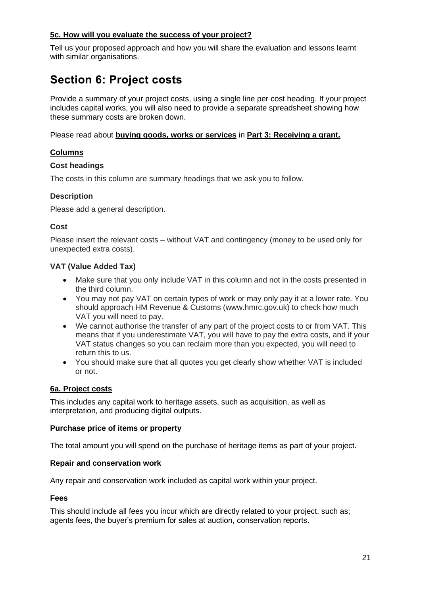### **5c. How will you evaluate the success of your project?**

Tell us your proposed approach and how you will share the evaluation and lessons learnt with similar organisations.

# <span id="page-20-0"></span>**Section 6: Project costs**

Provide a summary of your project costs, using a single line per cost heading. If your project includes capital works, you will also need to provide a separate spreadsheet showing how these summary costs are broken down.

Please read about **[buying goods, works or services](#page-10-0)** in **[Part 3: Receiving a grant.](#page-9-0)**

### **Columns**

#### **Cost headings**

The costs in this column are summary headings that we ask you to follow.

#### **Description**

Please add a general description.

#### **Cost**

Please insert the relevant costs – without VAT and contingency (money to be used only for unexpected extra costs).

#### **VAT (Value Added Tax)**

- Make sure that you only include VAT in this column and not in the costs presented in the third column.
- You may not pay VAT on certain types of work or may only pay it at a lower rate. You should approach HM Revenue & Customs (www.hmrc.gov.uk) to check how much VAT you will need to pay.
- We cannot authorise the transfer of any part of the project costs to or from VAT. This means that if you underestimate VAT, you will have to pay the extra costs, and if your VAT status changes so you can reclaim more than you expected, you will need to return this to us.
- You should make sure that all quotes you get clearly show whether VAT is included or not.

#### **6a. Project costs**

This includes any capital work to heritage assets, such as acquisition, as well as interpretation, and producing digital outputs.

#### **Purchase price of items or property**

The total amount you will spend on the purchase of heritage items as part of your project.

#### **Repair and conservation work**

Any repair and conservation work included as capital work within your project.

#### **Fees**

This should include all fees you incur which are directly related to your project, such as; agents fees, the buyer's premium for sales at auction, conservation reports.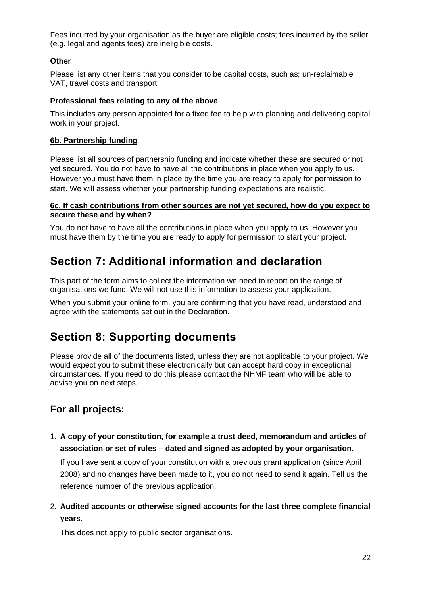Fees incurred by your organisation as the buyer are eligible costs; fees incurred by the seller (e.g. legal and agents fees) are ineligible costs.

### **Other**

Please list any other items that you consider to be capital costs, such as; un-reclaimable VAT, travel costs and transport.

#### **Professional fees relating to any of the above**

This includes any person appointed for a fixed fee to help with planning and delivering capital work in your project.

#### **6b. Partnership funding**

Please list all sources of partnership funding and indicate whether these are secured or not yet secured. You do not have to have all the contributions in place when you apply to us. However you must have them in place by the time you are ready to apply for permission to start. We will assess whether your partnership funding expectations are realistic.

#### **6c. If cash contributions from other sources are not yet secured, how do you expect to secure these and by when?**

You do not have to have all the contributions in place when you apply to us. However you must have them by the time you are ready to apply for permission to start your project.

# <span id="page-21-0"></span>**Section 7: Additional information and declaration**

This part of the form aims to collect the information we need to report on the range of organisations we fund. We will not use this information to assess your application.

When you submit your online form, you are confirming that you have read, understood and agree with the statements set out in the Declaration.

## <span id="page-21-1"></span>**Section 8: Supporting documents**

Please provide all of the documents listed, unless they are not applicable to your project. We would expect you to submit these electronically but can accept hard copy in exceptional circumstances. If you need to do this please contact the NHMF team who will be able to advise you on next steps.

### **For all projects:**

1. **A copy of your constitution, for example a trust deed, memorandum and articles of association or set of rules – dated and signed as adopted by your organisation.**

If you have sent a copy of your constitution with a previous grant application (since April 2008) and no changes have been made to it, you do not need to send it again. Tell us the reference number of the previous application.

2. **Audited accounts or otherwise signed accounts for the last three complete financial years.**

This does not apply to public sector organisations.